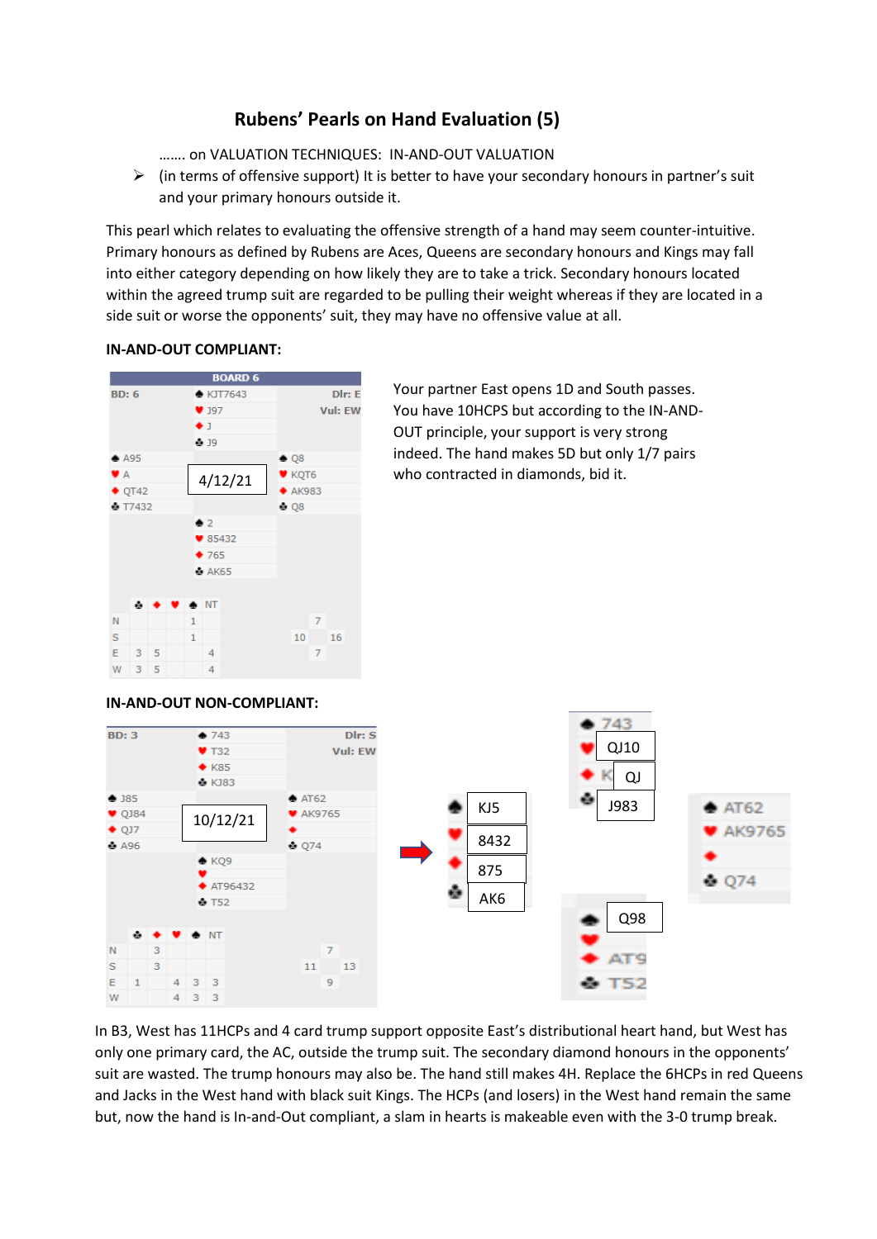## **Rubens' Pearls on Hand Evaluation (5)**

……. on VALUATION TECHNIQUES: IN-AND-OUT VALUATION

 $\triangleright$  (in terms of offensive support) It is better to have your secondary honours in partner's suit and your primary honours outside it.

This pearl which relates to evaluating the offensive strength of a hand may seem counter-intuitive. Primary honours as defined by Rubens are Aces, Queens are secondary honours and Kings may fall into either category depending on how likely they are to take a trick. Secondary honours located within the agreed trump suit are regarded to be pulling their weight whereas if they are located in a side suit or worse the opponents' suit, they may have no offensive value at all.

## **IN-AND-OUT COMPLIANT:**



Your partner East opens 1D and South passes. You have 10HCPS but according to the IN-AND-OUT principle, your support is very strong indeed. The hand makes 5D but only 1/7 pairs who contracted in diamonds, bid it.

## **IN-AND-OUT NON-COMPLIANT:**



 and Jacks in the West hand with black suit Kings. The HCPs (and losers) in the West hand remain the same In B3, West has 11HCPs and 4 card trump support opposite East's distributional heart hand, but West has only one primary card, the AC, outside the trump suit. The secondary diamond honours in the opponents' suit are wasted. The trump honours may also be. The hand still makes 4H. Replace the 6HCPs in red Queens but, now the hand is In-and-Out compliant, a slam in hearts is makeable even with the 3-0 trump break.